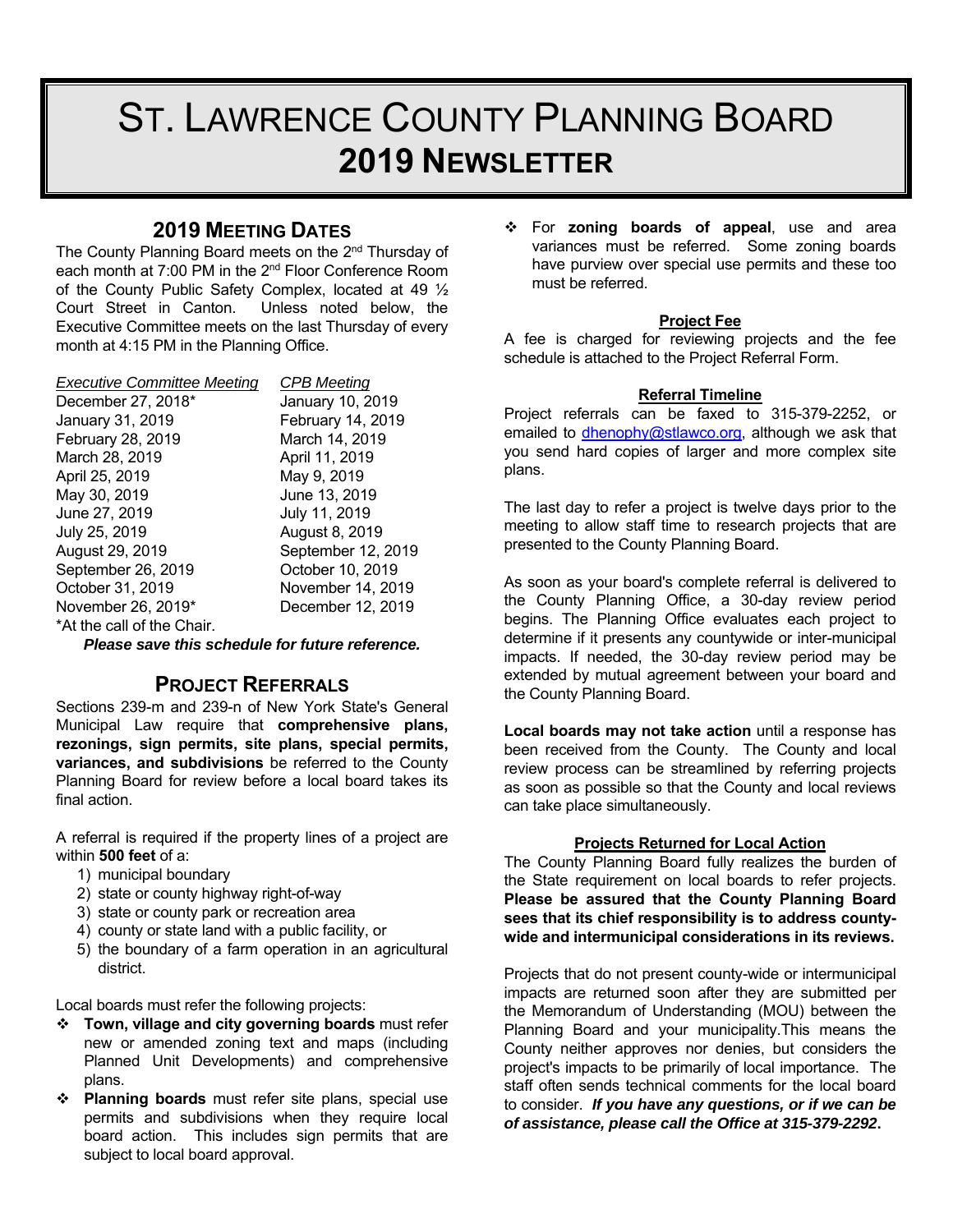# ST. LAWRENCE COUNTY PLANNING BOARD **2019 NEWSLETTER**

## **2019 MEETING DATES**

The County Planning Board meets on the 2<sup>nd</sup> Thursday of each month at 7:00 PM in the 2<sup>nd</sup> Floor Conference Room of the County Public Safety Complex, located at 49 ½ Court Street in Canton. Unless noted below, the Executive Committee meets on the last Thursday of every month at 4:15 PM in the Planning Office.

| <b>Executive Committee Meeting</b> | <b>CPB Meeting</b> |
|------------------------------------|--------------------|
| December 27, 2018*                 | January 10, 2019   |
| January 31, 2019                   | February 14, 2019  |
| February 28, 2019                  | March 14, 2019     |
| March 28, 2019                     | April 11, 2019     |
| April 25, 2019                     | May 9, 2019        |
| May 30, 2019                       | June 13, 2019      |
| June 27, 2019                      | July 11, 2019      |
| July 25, 2019                      | August 8, 2019     |
| August 29, 2019                    | September 12, 2019 |
| September 26, 2019                 | October 10, 2019   |
| October 31, 2019                   | November 14, 2019  |
| November 26, 2019*                 | December 12, 2019  |
| *At the call of the Chair.         |                    |

*Please save this schedule for future reference.* 

## **PROJECT REFERRALS**

Sections 239-m and 239-n of New York State's General Municipal Law require that **comprehensive plans, rezonings, sign permits, site plans, special permits, variances, and subdivisions** be referred to the County Planning Board for review before a local board takes its final action

A referral is required if the property lines of a project are within **500 feet** of a:

- 1) municipal boundary
- 2) state or county highway right-of-way
- 3) state or county park or recreation area
- 4) county or state land with a public facility, or
- 5) the boundary of a farm operation in an agricultural district.

Local boards must refer the following projects:

- **Town, village and city governing boards** must refer new or amended zoning text and maps (including Planned Unit Developments) and comprehensive plans.
- **Planning boards** must refer site plans, special use permits and subdivisions when they require local board action. This includes sign permits that are subject to local board approval.

 For **zoning boards of appeal**, use and area variances must be referred. Some zoning boards have purview over special use permits and these too must be referred.

#### **Project Fee**

A fee is charged for reviewing projects and the fee schedule is attached to the Project Referral Form.

## **Referral Timeline**

Project referrals can be faxed to 315-379-2252, or emailed to dhenophy@stlawco.org, although we ask that you send hard copies of larger and more complex site plans.

The last day to refer a project is twelve days prior to the meeting to allow staff time to research projects that are presented to the County Planning Board.

As soon as your board's complete referral is delivered to the County Planning Office, a 30-day review period begins. The Planning Office evaluates each project to determine if it presents any countywide or inter-municipal impacts. If needed, the 30-day review period may be extended by mutual agreement between your board and the County Planning Board.

**Local boards may not take action** until a response has been received from the County. The County and local review process can be streamlined by referring projects as soon as possible so that the County and local reviews can take place simultaneously.

#### **Projects Returned for Local Action**

The County Planning Board fully realizes the burden of the State requirement on local boards to refer projects. **Please be assured that the County Planning Board sees that its chief responsibility is to address countywide and intermunicipal considerations in its reviews.**

Projects that do not present county-wide or intermunicipal impacts are returned soon after they are submitted per the Memorandum of Understanding (MOU) between the Planning Board and your municipality.This means the County neither approves nor denies, but considers the project's impacts to be primarily of local importance. The staff often sends technical comments for the local board to consider. *If you have any questions, or if we can be of assistance, please call the Office at 315-379-2292***.**